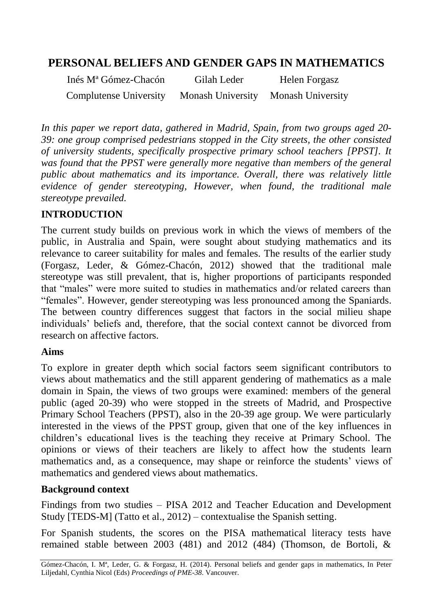# **PERSONAL BELIEFS AND GENDER GAPS IN MATHEMATICS**

Inés Mª Gómez-Chacón Complutense University Gilah Leder Monash University Helen Forgasz Monash University

*In this paper we report data, gathered in Madrid, Spain, from two groups aged 20- 39: one group comprised pedestrians stopped in the City streets, the other consisted of university students, specifically prospective primary school teachers [PPST]. It was found that the PPST were generally more negative than members of the general public about mathematics and its importance. Overall, there was relatively little evidence of gender stereotyping, However, when found, the traditional male stereotype prevailed.*

#### **INTRODUCTION**

The current study builds on previous work in which the views of members of the public, in Australia and Spain, were sought about studying mathematics and its relevance to career suitability for males and females. The results of the earlier study (Forgasz, Leder, & Gómez-Chacón, 2012) showed that the traditional male stereotype was still prevalent, that is, higher proportions of participants responded that "males" were more suited to studies in mathematics and/or related careers than "females". However, gender stereotyping was less pronounced among the Spaniards. The between country differences suggest that factors in the social milieu shape individuals' beliefs and, therefore, that the social context cannot be divorced from research on affective factors.

#### **Aims**

To explore in greater depth which social factors seem significant contributors to views about mathematics and the still apparent gendering of mathematics as a male domain in Spain, the views of two groups were examined: members of the general public (aged 20-39) who were stopped in the streets of Madrid, and Prospective Primary School Teachers (PPST), also in the 20-39 age group. We were particularly interested in the views of the PPST group, given that one of the key influences in children's educational lives is the teaching they receive at Primary School. The opinions or views of their teachers are likely to affect how the students learn mathematics and, as a consequence, may shape or reinforce the students' views of mathematics and gendered views about mathematics.

#### **Background context**

Findings from two studies – PISA 2012 and Teacher Education and Development Study [TEDS-M] (Tatto et al., 2012) – contextualise the Spanish setting.

For Spanish students, the scores on the PISA mathematical literacy tests have remained stable between 2003 (481) and 2012 (484) (Thomson, de Bortoli, &

Gómez-Chacón, I. Mª, Leder, G. & Forgasz, H. (2014). Personal beliefs and gender gaps in mathematics, In Peter Liljedahl, Cynthia Nicol (Eds) *Proceedings of PME-38*. Vancouver.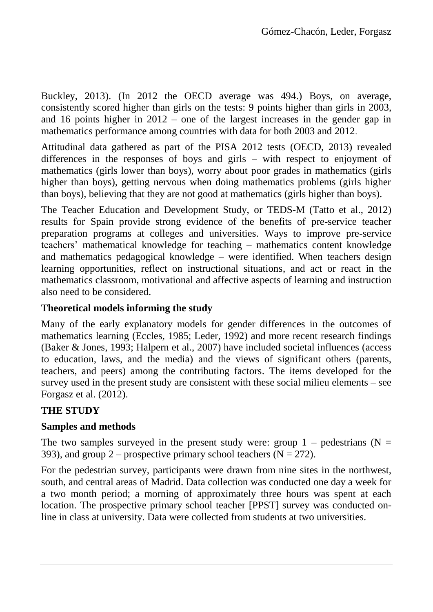Buckley, 2013). (In 2012 the OECD average was 494.) Boys, on average, consistently scored higher than girls on the tests: 9 points higher than girls in 2003, and 16 points higher in 2012 – one of the largest increases in the gender gap in mathematics performance among countries with data for both 2003 and 2012.

Attitudinal data gathered as part of the PISA 2012 tests (OECD, 2013) revealed differences in the responses of boys and girls – with respect to enjoyment of mathematics (girls lower than boys), worry about poor grades in mathematics (girls higher than boys), getting nervous when doing mathematics problems (girls higher than boys), believing that they are not good at mathematics (girls higher than boys).

The Teacher Education and Development Study, or TEDS-M (Tatto et al., 2012) results for Spain provide strong evidence of the benefits of pre-service teacher preparation programs at colleges and universities. Ways to improve pre-service teachers' mathematical knowledge for teaching – mathematics content knowledge and mathematics pedagogical knowledge – were identified. When teachers design learning opportunities, reflect on instructional situations, and act or react in the mathematics classroom, motivational and affective aspects of learning and instruction also need to be considered.

### **Theoretical models informing the study**

Many of the early explanatory models for gender differences in the outcomes of mathematics learning (Eccles, 1985; Leder, 1992) and more recent research findings (Baker & Jones, 1993; Halpern et al., 2007) have included societal influences (access to education, laws, and the media) and the views of significant others (parents, teachers, and peers) among the contributing factors. The items developed for the survey used in the present study are consistent with these social milieu elements – see Forgasz et al. (2012).

## **THE STUDY**

## **Samples and methods**

The two samples surveyed in the present study were: group  $1$  – pedestrians (N = 393), and group 2 – prospective primary school teachers ( $N = 272$ ).

For the pedestrian survey, participants were drawn from nine sites in the northwest, south, and central areas of Madrid. Data collection was conducted one day a week for a two month period; a morning of approximately three hours was spent at each location. The prospective primary school teacher [PPST] survey was conducted online in class at university. Data were collected from students at two universities.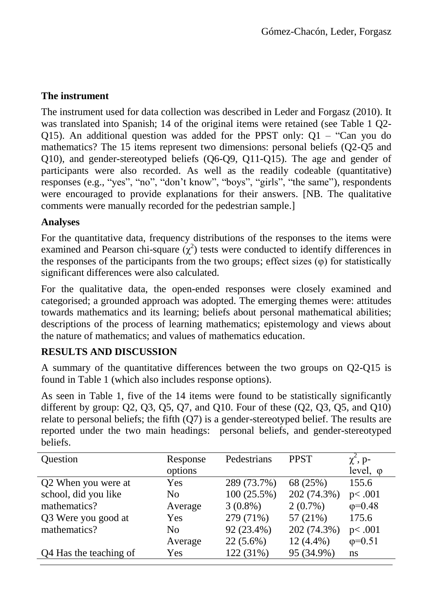## **The instrument**

The instrument used for data collection was described in Leder and Forgasz (2010). It was translated into Spanish; 14 of the original items were retained (see Table 1 Q2- Q15). An additional question was added for the PPST only:  $Q1 - Can$  you do mathematics? The 15 items represent two dimensions: personal beliefs (Q2-Q5 and Q10), and gender-stereotyped beliefs (Q6-Q9, Q11-Q15). The age and gender of participants were also recorded. As well as the readily codeable (quantitative) responses (e.g., "yes", "no", "don't know", "boys", "girls", "the same"), respondents were encouraged to provide explanations for their answers. [NB. The qualitative comments were manually recorded for the pedestrian sample.]

## **Analyses**

For the quantitative data, frequency distributions of the responses to the items were examined and Pearson chi-square  $(\chi^2)$  tests were conducted to identify differences in the responses of the participants from the two groups; effect sizes (φ) for statistically significant differences were also calculated.

For the qualitative data, the open-ended responses were closely examined and categorised; a grounded approach was adopted. The emerging themes were: attitudes towards mathematics and its learning; beliefs about personal mathematical abilities; descriptions of the process of learning mathematics; epistemology and views about the nature of mathematics; and values of mathematics education.

## **RESULTS AND DISCUSSION**

A summary of the quantitative differences between the two groups on Q2-Q15 is found in Table 1 (which also includes response options).

As seen in Table 1, five of the 14 items were found to be statistically significantly different by group:  $Q2$ ,  $Q3$ ,  $Q5$ ,  $Q7$ , and  $Q10$ . Four of these  $(Q2, Q3, Q5,$  and  $Q10)$ relate to personal beliefs; the fifth (Q7) is a gender-stereotyped belief. The results are reported under the two main headings: personal beliefs, and gender-stereotyped beliefs.

| Question               | Response<br>options | Pedestrians | <b>PPST</b> | $\chi^2$ , p-<br>level, $\varphi$ |
|------------------------|---------------------|-------------|-------------|-----------------------------------|
| Q2 When you were at    | Yes                 | 289 (73.7%) | 68 (25%)    | 155.6                             |
| school, did you like   | N <sub>0</sub>      | 100(25.5%)  | 202 (74.3%) | p<.001                            |
| mathematics?           | Average             | $3(0.8\%)$  | $2(0.7\%)$  | $\phi = 0.48$                     |
| Q3 Were you good at    | Yes                 | 279 (71%)   | 57 $(21\%)$ | 175.6                             |
| mathematics?           | N <sub>0</sub>      | 92 (23.4%)  | 202 (74.3%) | p<.001                            |
|                        | Average             | $22(5.6\%)$ | $12(4.4\%)$ | $\phi = 0.51$                     |
| Q4 Has the teaching of | Yes                 | 122 (31%)   | 95 (34.9%)  | ns                                |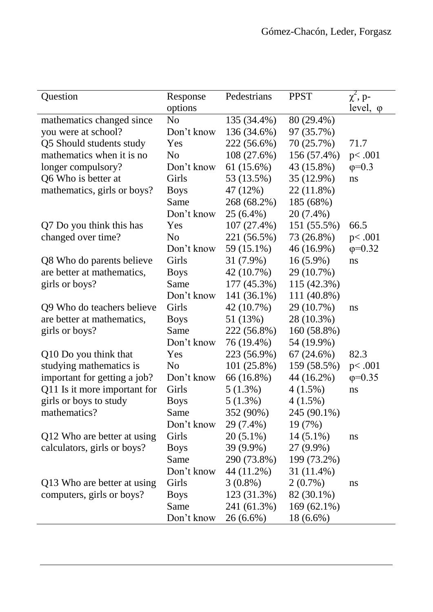| Question                     | Response       | Pedestrians   | <b>PPST</b>   | $\chi^2$ , p-    |
|------------------------------|----------------|---------------|---------------|------------------|
|                              | options        |               |               | level, $\varphi$ |
| mathematics changed since    | N <sub>o</sub> | 135 (34.4%)   | 80 (29.4%)    |                  |
| you were at school?          | Don't know     | 136 (34.6%)   | 97 (35.7%)    |                  |
| Q5 Should students study     | Yes            | 222 (56.6%)   | 70 $(25.7%)$  | 71.7             |
| mathematics when it is no    | N <sub>o</sub> | 108(27.6%)    | 156 (57.4%)   | p<.001           |
| longer compulsory?           | Don't know     | 61 (15.6%)    | 43 (15.8%)    | $\phi = 0.3$     |
| Q6 Who is better at          | Girls          | 53 (13.5%)    | 35 (12.9%)    | ns               |
| mathematics, girls or boys?  | <b>Boys</b>    | 47 (12%)      | 22 (11.8%)    |                  |
|                              | Same           | 268 (68.2%)   | 185 (68%)     |                  |
|                              | Don't know     | $25(6.4\%)$   | 20 (7.4%)     |                  |
| Q7 Do you think this has     | Yes            | $107(27.4\%)$ | 151 (55.5%)   | 66.5             |
| changed over time?           | N <sub>o</sub> | 221 (56.5%)   | 73 (26.8%)    | p<.001           |
|                              | Don't know     | 59 (15.1%)    | $46(16.9\%)$  | $\varphi = 0.32$ |
| Q8 Who do parents believe    | Girls          | $31(7.9\%)$   | $16(5.9\%)$   | ns               |
| are better at mathematics,   | <b>Boys</b>    | 42 (10.7%)    | 29 (10.7%)    |                  |
| girls or boys?               | Same           | 177 (45.3%)   | 115 (42.3%)   |                  |
|                              | Don't know     | 141 (36.1%)   | 111 (40.8%)   |                  |
| Q9 Who do teachers believe   | Girls          | 42 (10.7%)    | 29 (10.7%)    | ns               |
| are better at mathematics,   | <b>Boys</b>    | 51 (13%)      | 28 (10.3%)    |                  |
| girls or boys?               | Same           | 222 (56.8%)   | 160 (58.8%)   |                  |
|                              | Don't know     | 76 (19.4%)    | 54 (19.9%)    |                  |
| Q10 Do you think that        | Yes            | 223 (56.9%)   | 67(24.6%)     | 82.3             |
| studying mathematics is      | N <sub>o</sub> | $101(25.8\%)$ | 159 (58.5%)   | p<.001           |
| important for getting a job? | Don't know     | 66 (16.8%)    | 44 (16.2%)    | $\phi = 0.35$    |
| Q11 Is it more important for | Girls          | $5(1.3\%)$    | $4(1.5\%)$    | ns               |
| girls or boys to study       | <b>Boys</b>    | $5(1.3\%)$    | $4(1.5\%)$    |                  |
| mathematics?                 | Same           | 352 (90%)     | 245 (90.1%)   |                  |
|                              | Don't know     | 29 (7.4%)     | 19 (7%)       |                  |
| Q12 Who are better at using  | Girls          | $20(5.1\%)$   | $14(5.1\%)$   | ns               |
| calculators, girls or boys?  | <b>Boys</b>    | 39 (9.9%)     | 27 (9.9%)     |                  |
|                              | Same           | 290 (73.8%)   | 199 (73.2%)   |                  |
|                              | Don't know     | 44 (11.2%)    | 31 (11.4%)    |                  |
| Q13 Who are better at using  | Girls          | $3(0.8\%)$    | $2(0.7\%)$    | ns               |
| computers, girls or boys?    | <b>Boys</b>    | 123 (31.3%)   | 82 (30.1%)    |                  |
|                              | Same           | 241 (61.3%)   | $169(62.1\%)$ |                  |
|                              | Don't know     | $26(6.6\%)$   | 18 (6.6%)     |                  |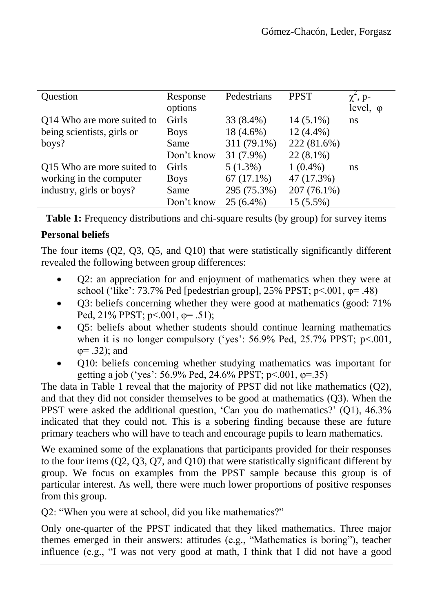| Question                   | Response    | Pedestrians  | <b>PPST</b> | $\chi^2$ , p-    |
|----------------------------|-------------|--------------|-------------|------------------|
|                            | options     |              |             | level, $\varphi$ |
| Q14 Who are more suited to | Girls       | 33 (8.4%)    | $14(5.1\%)$ | ns               |
| being scientists, girls or | <b>Boys</b> | $18(4.6\%)$  | $12(4.4\%)$ |                  |
| boys?                      | Same        | 311 (79.1%)  | 222 (81.6%) |                  |
|                            | Don't know  | 31 (7.9%)    | $22(8.1\%)$ |                  |
| Q15 Who are more suited to | Girls       | $5(1.3\%)$   | $1(0.4\%)$  | ns               |
| working in the computer    | <b>Boys</b> | $67(17.1\%)$ | 47 (17.3%)  |                  |
| industry, girls or boys?   | Same        | 295 (75.3%)  | 207 (76.1%) |                  |
|                            | Don't know  | $25(6.4\%)$  | 15 (5.5%)   |                  |

**Table 1:** Frequency distributions and chi-square results (by group) for survey items

## **Personal beliefs**

The four items (Q2, Q3, Q5, and Q10) that were statistically significantly different revealed the following between group differences:

- Q2: an appreciation for and enjoyment of mathematics when they were at school ('like': 73.7% Ped [pedestrian group],  $25\%$  PPST;  $p<.001$ ,  $\varphi$ = .48)
- Q3: beliefs concerning whether they were good at mathematics (good: 71% Ped, 21% PPST; p<.001, φ= .51);
- Q5: beliefs about whether students should continue learning mathematics when it is no longer compulsory ('yes':  $56.9\%$  Ped,  $25.7\%$  PPST;  $p<.001$ ,  $\varphi = .32$ ); and
- Q10: beliefs concerning whether studying mathematics was important for getting a job ('yes':  $56.9\%$  Ped,  $24.6\%$  PPST;  $p<.001$ ,  $\varphi = .35$ )

The data in Table 1 reveal that the majority of PPST did not like mathematics (Q2), and that they did not consider themselves to be good at mathematics (Q3). When the PPST were asked the additional question, 'Can you do mathematics?' (Q1), 46.3% indicated that they could not. This is a sobering finding because these are future primary teachers who will have to teach and encourage pupils to learn mathematics.

We examined some of the explanations that participants provided for their responses to the four items (Q2, Q3, Q7, and Q10) that were statistically significant different by group. We focus on examples from the PPST sample because this group is of particular interest. As well, there were much lower proportions of positive responses from this group.

Q2: "When you were at school, did you like mathematics?"

Only one-quarter of the PPST indicated that they liked mathematics. Three major themes emerged in their answers: attitudes (e.g., "Mathematics is boring"), teacher influence (e.g., "I was not very good at math, I think that I did not have a good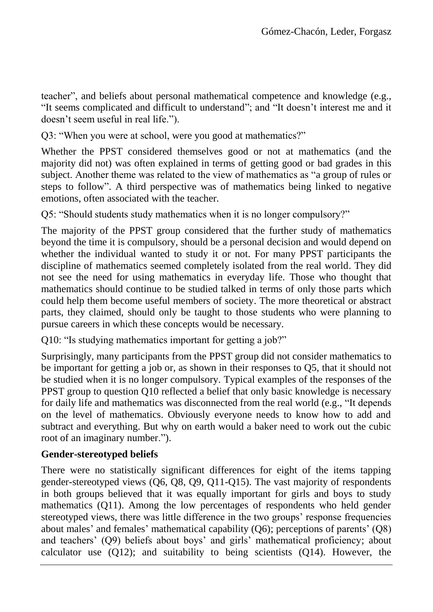teacher", and beliefs about personal mathematical competence and knowledge (e.g., "It seems complicated and difficult to understand"; and "It doesn't interest me and it doesn't seem useful in real life.").

Q3: "When you were at school, were you good at mathematics?"

Whether the PPST considered themselves good or not at mathematics (and the majority did not) was often explained in terms of getting good or bad grades in this subject. Another theme was related to the view of mathematics as "a group of rules or steps to follow". A third perspective was of mathematics being linked to negative emotions, often associated with the teacher.

Q5: "Should students study mathematics when it is no longer compulsory?"

The majority of the PPST group considered that the further study of mathematics beyond the time it is compulsory, should be a personal decision and would depend on whether the individual wanted to study it or not. For many PPST participants the discipline of mathematics seemed completely isolated from the real world. They did not see the need for using mathematics in everyday life. Those who thought that mathematics should continue to be studied talked in terms of only those parts which could help them become useful members of society. The more theoretical or abstract parts, they claimed, should only be taught to those students who were planning to pursue careers in which these concepts would be necessary.

Q10: "Is studying mathematics important for getting a job?"

Surprisingly, many participants from the PPST group did not consider mathematics to be important for getting a job or, as shown in their responses to Q5, that it should not be studied when it is no longer compulsory. Typical examples of the responses of the PPST group to question Q10 reflected a belief that only basic knowledge is necessary for daily life and mathematics was disconnected from the real world (e.g., "It depends on the level of mathematics. Obviously everyone needs to know how to add and subtract and everything. But why on earth would a baker need to work out the cubic root of an imaginary number.").

## **Gender-stereotyped beliefs**

There were no statistically significant differences for eight of the items tapping gender-stereotyped views (Q6, Q8, Q9, Q11-Q15). The vast majority of respondents in both groups believed that it was equally important for girls and boys to study mathematics (Q11). Among the low percentages of respondents who held gender stereotyped views, there was little difference in the two groups' response frequencies about males' and females' mathematical capability (Q6); perceptions of parents' (Q8) and teachers' (Q9) beliefs about boys' and girls' mathematical proficiency; about calculator use (Q12); and suitability to being scientists (Q14). However, the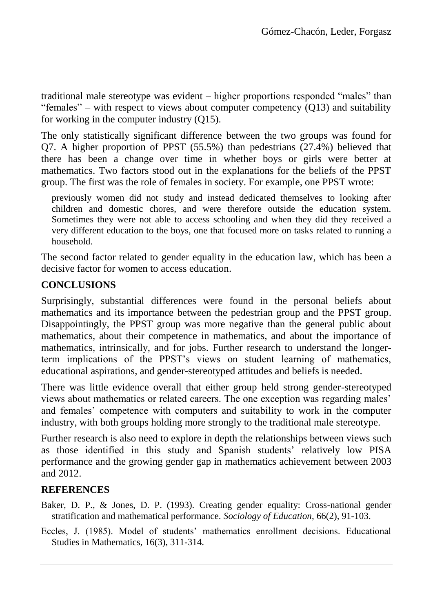traditional male stereotype was evident – higher proportions responded "males" than "females" – with respect to views about computer competency  $(013)$  and suitability for working in the computer industry (Q15).

The only statistically significant difference between the two groups was found for Q7. A higher proportion of PPST (55.5%) than pedestrians (27.4%) believed that there has been a change over time in whether boys or girls were better at mathematics. Two factors stood out in the explanations for the beliefs of the PPST group. The first was the role of females in society. For example, one PPST wrote:

previously women did not study and instead dedicated themselves to looking after children and domestic chores, and were therefore outside the education system. Sometimes they were not able to access schooling and when they did they received a very different education to the boys, one that focused more on tasks related to running a household.

The second factor related to gender equality in the education law, which has been a decisive factor for women to access education.

## **CONCLUSIONS**

Surprisingly, substantial differences were found in the personal beliefs about mathematics and its importance between the pedestrian group and the PPST group. Disappointingly, the PPST group was more negative than the general public about mathematics, about their competence in mathematics, and about the importance of mathematics, intrinsically, and for jobs. Further research to understand the longerterm implications of the PPST's views on student learning of mathematics, educational aspirations, and gender-stereotyped attitudes and beliefs is needed.

There was little evidence overall that either group held strong gender-stereotyped views about mathematics or related careers. The one exception was regarding males' and females' competence with computers and suitability to work in the computer industry, with both groups holding more strongly to the traditional male stereotype.

Further research is also need to explore in depth the relationships between views such as those identified in this study and Spanish students' relatively low PISA performance and the growing gender gap in mathematics achievement between 2003 and 2012.

## **REFERENCES**

- Baker, D. P., & Jones, D. P. (1993). Creating gender equality: Cross-national gender stratification and mathematical performance. *Sociology of Education*, 66(2), 91-103.
- Eccles, J. (1985). Model of students' mathematics enrollment decisions. Educational Studies in Mathematics, 16(3), 311-314.